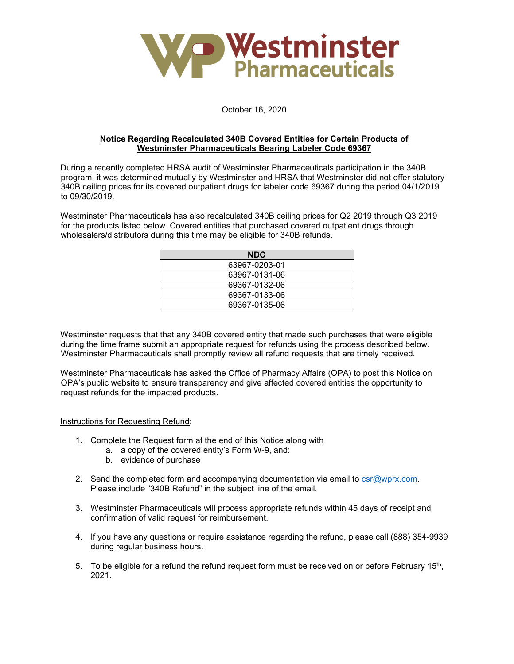

## October 16, 2020

## **Notice Regarding Recalculated 340B Covered Entities for Certain Products of Westminster Pharmaceuticals Bearing Labeler Code 69367**

During a recently completed HRSA audit of Westminster Pharmaceuticals participation in the 340B program, it was determined mutually by Westminster and HRSA that Westminster did not offer statutory 340B ceiling prices for its covered outpatient drugs for labeler code 69367 during the period 04/1/2019 to 09/30/2019.

Westminster Pharmaceuticals has also recalculated 340B ceiling prices for Q2 2019 through Q3 2019 for the products listed below. Covered entities that purchased covered outpatient drugs through wholesalers/distributors during this time may be eligible for 340B refunds.

| <b>NDC</b>    |  |
|---------------|--|
| 63967-0203-01 |  |
| 63967-0131-06 |  |
| 69367-0132-06 |  |
| 69367-0133-06 |  |
| 69367-0135-06 |  |

Westminster requests that that any 340B covered entity that made such purchases that were eligible during the time frame submit an appropriate request for refunds using the process described below. Westminster Pharmaceuticals shall promptly review all refund requests that are timely received.

Westminster Pharmaceuticals has asked the Office of Pharmacy Affairs (OPA) to post this Notice on OPA's public website to ensure transparency and give affected covered entities the opportunity to request refunds for the impacted products.

## Instructions for Requesting Refund:

- 1. Complete the Request form at the end of this Notice along with
	- a. a copy of the covered entity's Form W-9, and:
	- b. evidence of purchase
- 2. Send the completed form and accompanying documentation via email to [csr@wprx.com.](mailto:csr@wprx.com) Please include "340B Refund" in the subject line of the email.
- 3. Westminster Pharmaceuticals will process appropriate refunds within 45 days of receipt and confirmation of valid request for reimbursement.
- 4. If you have any questions or require assistance regarding the refund, please call (888) 354-9939 during regular business hours.
- 5. To be eligible for a refund the refund request form must be received on or before February 15<sup>th</sup>, 2021.